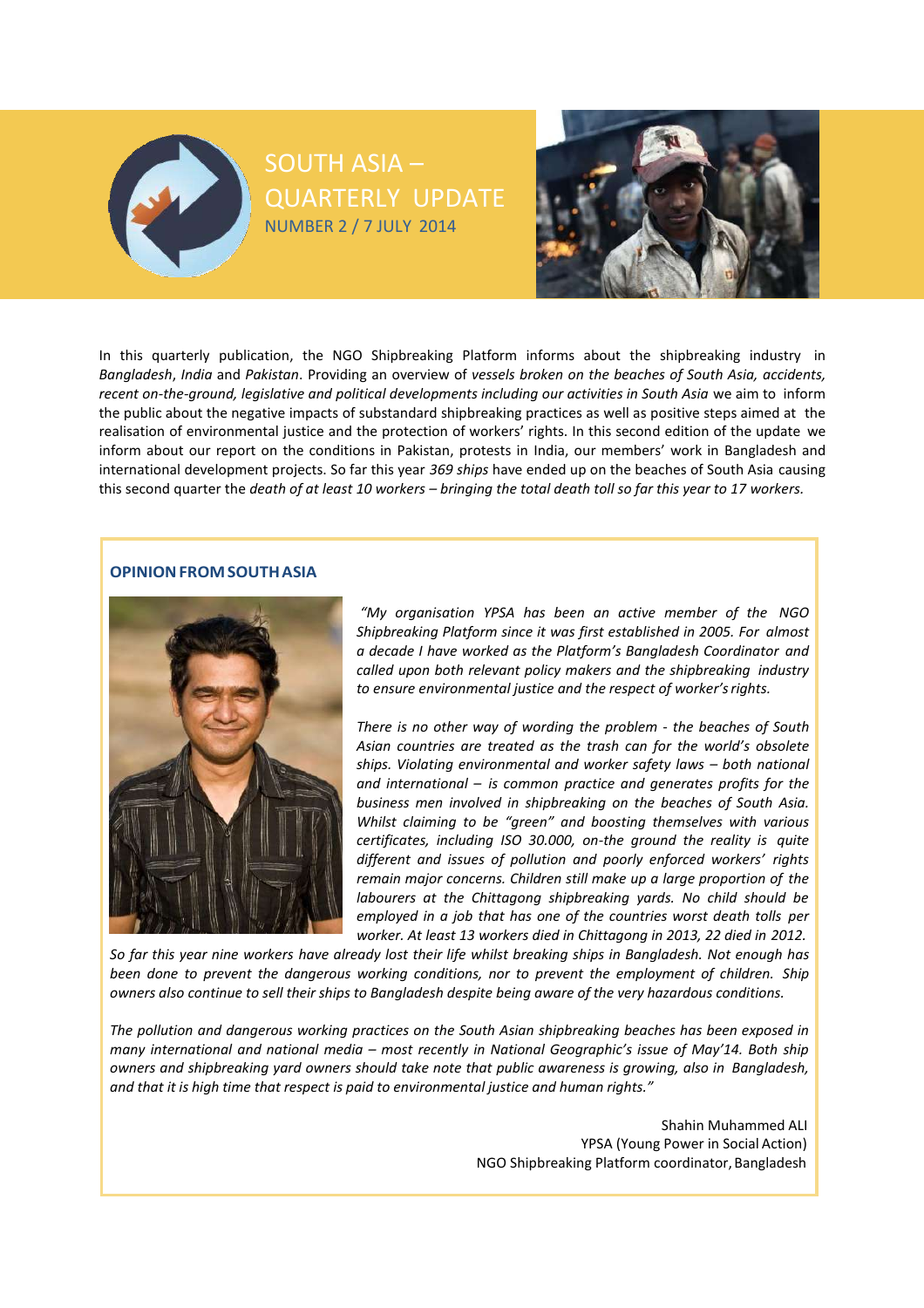



In this quarterly publication, the NGO Shipbreaking Platform informs about the shipbreaking industry in *Bangladesh*, *India* and *Pakistan*. Providing an overview of *vessels broken on the beaches of South Asia, accidents, recent on-the-ground, legislative and political developments including our activities in South Asia* we aim to inform the public about the negative impacts of substandard shipbreaking practices as well as positive steps aimed at the realisation of environmental justice and the protection of workers' rights. In this second edition of the update we inform about our report on the conditions in Pakistan, protests in India, our members' work in Bangladesh and international development projects. So far this year *369 ships* have ended up on the beaches of South Asia causing this second quarter the *death of at least 10 workers – bringing the total death toll so far this year to 17 workers.*

SOUTH ASIA –

QUARTERLY UPDATE

NUMBER 2 / 7 JULY 2014

# **OPINIONFROMSOUTHASIA**



*"My organisation YPSA has been an active member of the NGO Shipbreaking Platform since it was first established in 2005. For almost a decade I have worked as the Platform's Bangladesh Coordinator and called upon both relevant policy makers and the shipbreaking industry to ensure environmental justice and the respect of worker'srights.*

*There is no other way of wording the problem - the beaches of South Asian countries are treated as the trash can for the world's obsolete ships. Violating environmental and worker safety laws – both national and international – is common practice and generates profits for the business men involved in shipbreaking on the beaches of South Asia. Whilst claiming to be "green" and boosting themselves with various certificates, including ISO 30.000, on-the ground the reality is quite different and issues of pollution and poorly enforced workers' rights remain major concerns. Children still make up a large proportion of the labourers at the Chittagong shipbreaking yards. No child should be employed in a job that has one of the countries worst death tolls per worker. At least 13 workers died in Chittagong in 2013, 22 died in 2012.*

So far this year nine workers have already lost their life whilst breaking ships in Bangladesh. Not enough has *been done to prevent the dangerous working conditions, nor to prevent the employment of children. Ship* owners also continue to sell their ships to Bangladesh despite being aware of the very hazardous conditions.

*The pollution and dangerous working practices on the South Asian shipbreaking beaches has been exposed in many international and national media – most recently in National Geographic's issue of May'14. Both ship owners and shipbreaking yard owners should take note that public awareness is growing, also in Bangladesh, and that it is high time that respect is paid to environmental justice and human rights."*

> Shahin Muhammed ALI YPSA (Young Power in Social Action) NGO Shipbreaking Platform coordinator, Bangladesh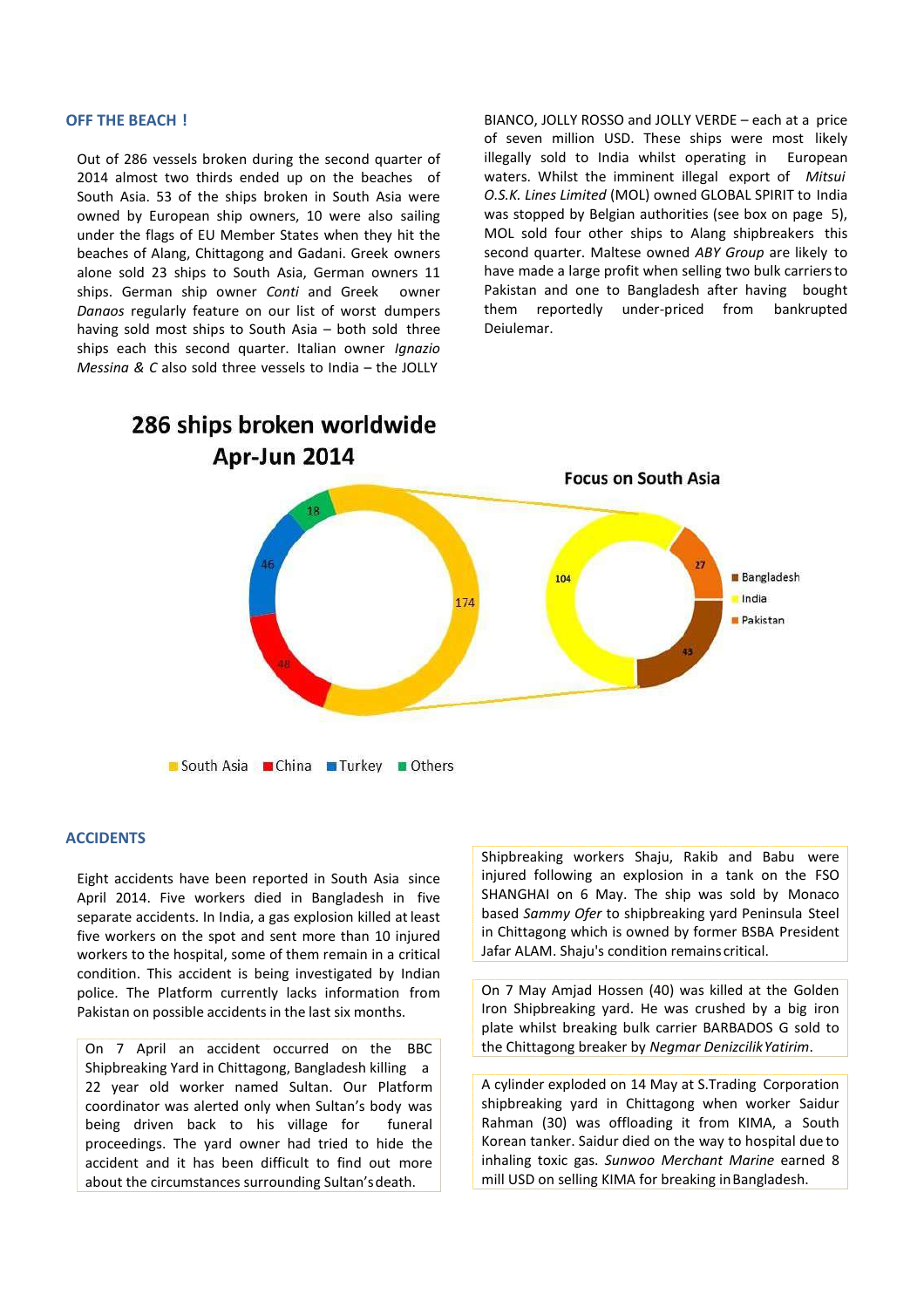#### **OFF THE BEACH !**

Out of 286 vessels broken during the second quarter of 2014 almost two thirds ended up on the beaches of South Asia. 53 of the ships broken in South Asia were owned by European ship owners, 10 were also sailing under the flags of EU Member States when they hit the beaches of Alang, Chittagong and Gadani. Greek owners alone sold 23 ships to South Asia, German owners 11 ships. German ship owner *Conti* and Greek owner *Danaos* regularly feature on our list of worst dumpers having sold most ships to South Asia – both sold three ships each this second quarter. Italian owner *Ignazio Messina & C* also sold three vessels to India – the JOLLY

BIANCO, JOLLY ROSSO and JOLLY VERDE – each at a price of seven million USD. These ships were most likely illegally sold to India whilst operating in European waters. Whilst the imminent illegal export of *Mitsui O.S.K. Lines Limited* (MOL) owned GLOBAL SPIRIT to India was stopped by Belgian authorities (see box on page 5), MOL sold four other ships to Alang shipbreakers this second quarter. Maltese owned *ABY Group* are likely to have made a large profit when selling two bulk carriersto Pakistan and one to Bangladesh after having bought them reportedly under-priced from bankrupted Deiulemar.



### **ACCIDENTS**

Eight accidents have been reported in South Asia since April 2014. Five workers died in Bangladesh in five separate accidents. In India, a gas explosion killed at least five workers on the spot and sent more than 10 injured workers to the hospital, some of them remain in a critical condition. This accident is being investigated by Indian police. The Platform currently lacks information from Pakistan on possible accidents in the last six months.

On 7 April an accident occurred on the BBC Shipbreaking Yard in Chittagong, Bangladesh killing a 22 year old worker named Sultan. Our Platform coordinator was alerted only when Sultan's body was being driven back to his village for funeral proceedings. The yard owner had tried to hide the accident and it has been difficult to find out more about the circumstances surrounding Sultan'sdeath.

Shipbreaking workers Shaju, Rakib and Babu were injured following an explosion in a tank on the FSO SHANGHAI on 6 May. The ship was sold by Monaco based *Sammy Ofer* to shipbreaking yard Peninsula Steel in Chittagong which is owned by former BSBA President Jafar ALAM. Shaju's condition remains critical.

On 7 May Amjad Hossen (40) was killed at the Golden Iron Shipbreaking yard. He was crushed by a big iron plate whilst breaking bulk carrier BARBADOS G sold to the Chittagong breaker by *Negmar DenizcilikYatirim*.

A cylinder exploded on 14 May at S.Trading Corporation shipbreaking yard in Chittagong when worker Saidur Rahman (30) was offloading it from KIMA, a South Korean tanker. Saidur died on the way to hospital due to inhaling toxic gas. *Sunwoo Merchant Marine* earned 8 mill USD on selling KIMA for breaking inBangladesh.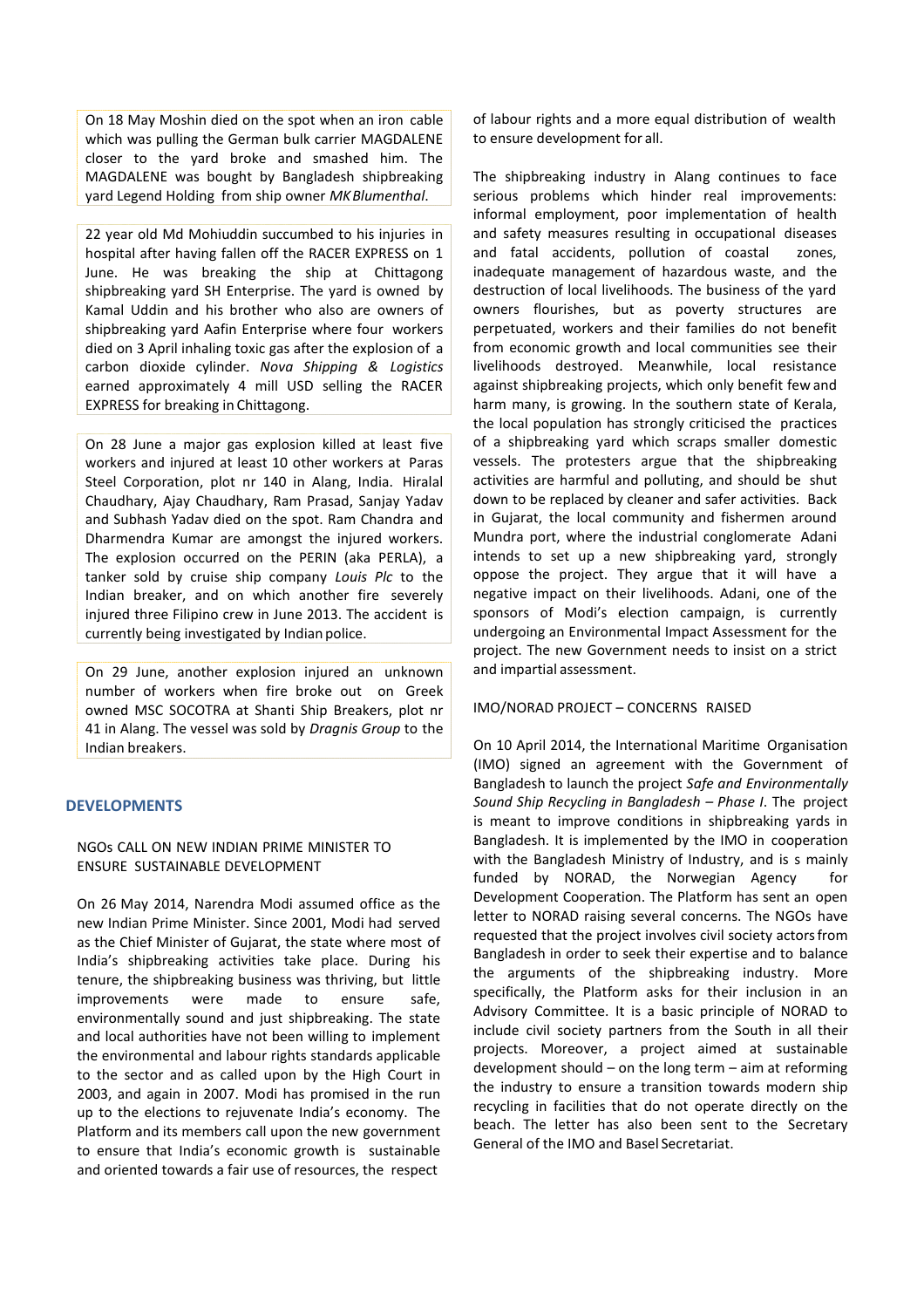On 18 May Moshin died on the spot when an iron cable which was pulling the German bulk carrier MAGDALENE closer to the yard broke and smashed him. The MAGDALENE was bought by Bangladesh shipbreaking yard Legend Holding from ship owner *MKBlumenthal*.

22 year old Md Mohiuddin succumbed to his injuries in hospital after having fallen off the RACER EXPRESS on 1 June. He was breaking the ship at Chittagong shipbreaking yard SH Enterprise. The yard is owned by Kamal Uddin and his brother who also are owners of shipbreaking yard Aafin Enterprise where four workers died on 3 April inhaling toxic gas after the explosion of a carbon dioxide cylinder. *Nova Shipping & Logistics* earned approximately 4 mill USD selling the RACER EXPRESS for breaking in Chittagong.

On 28 June a major gas explosion killed at least five workers and injured at least 10 other workers at Paras Steel Corporation, plot nr 140 in Alang, India. Hiralal Chaudhary, Ajay Chaudhary, Ram Prasad, Sanjay Yadav and Subhash Yadav died on the spot. Ram Chandra and Dharmendra Kumar are amongst the injured workers. The explosion occurred on the PERIN (aka PERLA), a tanker sold by cruise ship company *Louis Plc* to the Indian breaker, and on which another fire severely injured three Filipino crew in June 2013. The accident is currently being investigated by Indian police.

On 29 June, another explosion injured an unknown number of workers when fire broke out on Greek owned MSC SOCOTRA at Shanti Ship Breakers, plot nr 41 in Alang. The vessel was sold by *Dragnis Group* to the Indian breakers.

# **DEVELOPMENTS**

# NGOs CALL ON NEW INDIAN PRIME MINISTER TO ENSURE SUSTAINABLE DEVELOPMENT

On 26 May 2014, Narendra Modi assumed office as the new Indian Prime Minister. Since 2001, Modi had served as the Chief Minister of Gujarat, the state where most of India's shipbreaking activities take place. During his tenure, the shipbreaking business was thriving, but little improvements were made to ensure safe, environmentally sound and just shipbreaking. The state and local authorities have not been willing to implement the environmental and labour rights standards applicable to the sector and as called upon by the High Court in 2003, and again in 2007. Modi has promised in the run up to the elections to rejuvenate India's economy. The Platform and its members call upon the new government to ensure that India's economic growth is sustainable and oriented towards a fair use of resources, the respect

of labour rights and a more equal distribution of wealth to ensure development for all.

The shipbreaking industry in Alang continues to face serious problems which hinder real improvements: informal employment, poor implementation of health and safety measures resulting in occupational diseases and fatal accidents, pollution of coastal zones, inadequate management of hazardous waste, and the destruction of local livelihoods. The business of the yard owners flourishes, but as poverty structures are perpetuated, workers and their families do not benefit from economic growth and local communities see their livelihoods destroyed. Meanwhile, local resistance against shipbreaking projects, which only benefit few and harm many, is growing. In the southern state of Kerala, the local population has strongly criticised the practices of a shipbreaking yard which scraps smaller domestic vessels. The protesters argue that the shipbreaking activities are harmful and polluting, and should be shut down to be replaced by cleaner and safer activities. Back in Gujarat, the local community and fishermen around Mundra port, where the industrial conglomerate Adani intends to set up a new shipbreaking yard, strongly oppose the project. They argue that it will have a negative impact on their livelihoods. Adani, one of the sponsors of Modi's election campaign, is currently undergoing an Environmental Impact Assessment for the project. The new Government needs to insist on a strict and impartial assessment.

# IMO/NORAD PROJECT – CONCERNS RAISED

On 10 April 2014, the International Maritime Organisation (IMO) signed an agreement with the Government of Bangladesh to launch the project *Safe and Environmentally Sound Ship Recycling in Bangladesh – Phase I*. The project is meant to improve conditions in shipbreaking yards in Bangladesh. It is implemented by the IMO in cooperation with the Bangladesh Ministry of Industry, and is s mainly funded by NORAD, the Norwegian Agency for Development Cooperation. The Platform has sent an open letter to NORAD raising several concerns. The NGOs have requested that the project involves civil society actorsfrom Bangladesh in order to seek their expertise and to balance the arguments of the shipbreaking industry. More specifically, the Platform asks for their inclusion in an Advisory Committee. It is a basic principle of NORAD to include civil society partners from the South in all their projects. Moreover, a project aimed at sustainable development should – on the long term – aim at reforming the industry to ensure a transition towards modern ship recycling in facilities that do not operate directly on the beach. The letter has also been sent to the Secretary General of the IMO and Basel Secretariat.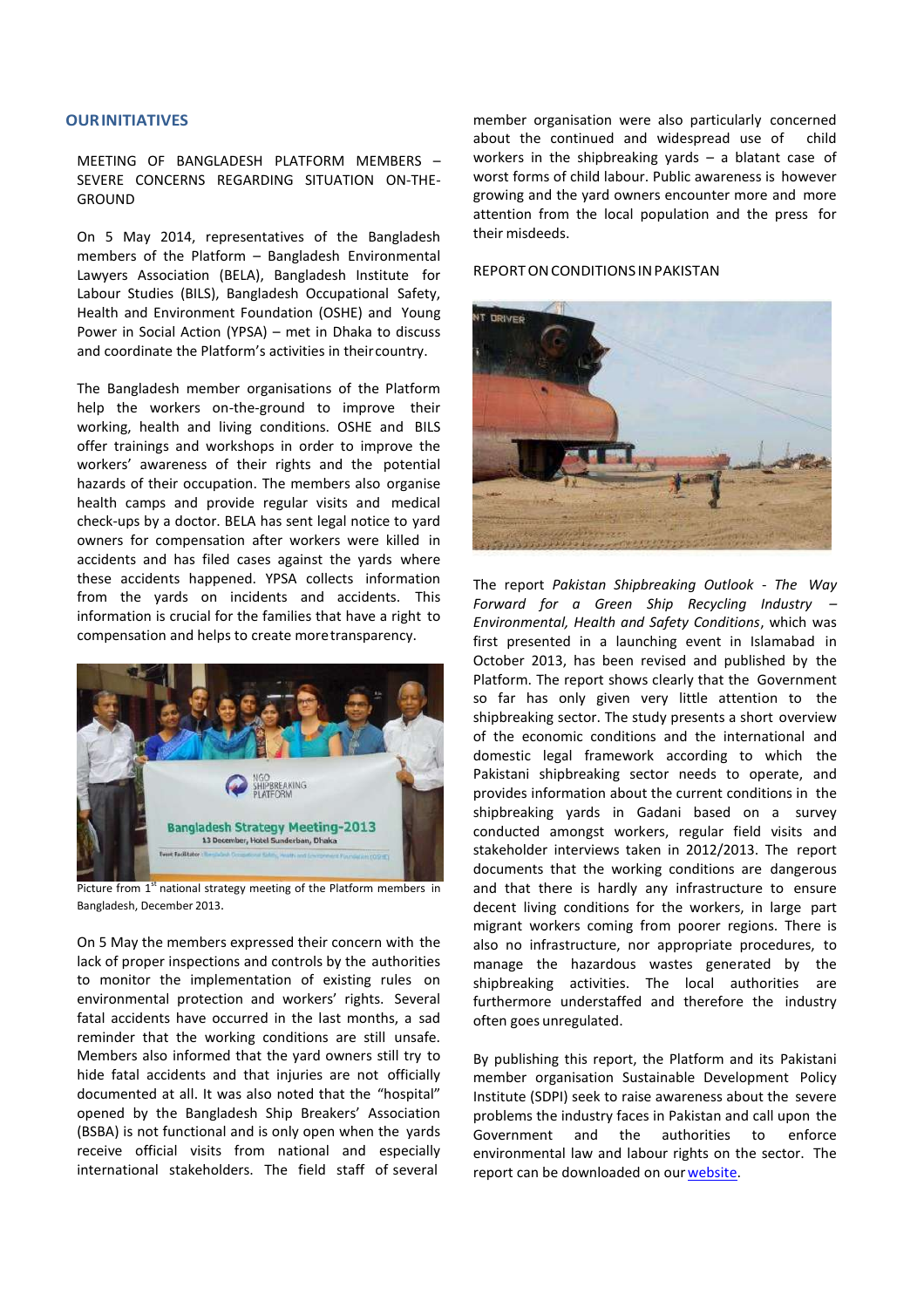#### **OURINITIATIVES**

MEETING OF BANGLADESH PLATFORM MEMBERS – SEVERE CONCERNS REGARDING SITUATION ON-THE-GROUND

On 5 May 2014, representatives of the Bangladesh members of the Platform – Bangladesh Environmental Lawyers Association (BELA), Bangladesh Institute for Labour Studies (BILS), Bangladesh Occupational Safety, Health and Environment Foundation (OSHE) and Young Power in Social Action (YPSA) – met in Dhaka to discuss and coordinate the Platform's activities in theircountry.

The Bangladesh member organisations of the Platform help the workers on-the-ground to improve their working, health and living conditions. OSHE and BILS offer trainings and workshops in order to improve the workers' awareness of their rights and the potential hazards of their occupation. The members also organise health camps and provide regular visits and medical check-ups by a doctor. BELA has sent legal notice to yard owners for compensation after workers were killed in accidents and has filed cases against the yards where these accidents happened. YPSA collects information from the yards on incidents and accidents. This information is crucial for the families that have a right to compensation and helps to create moretransparency.



Picture from  $1<sup>st</sup>$  national strategy meeting of the Platform members in Bangladesh, December 2013.

On 5 May the members expressed their concern with the lack of proper inspections and controls by the authorities to monitor the implementation of existing rules on environmental protection and workers' rights. Several fatal accidents have occurred in the last months, a sad reminder that the working conditions are still unsafe. Members also informed that the yard owners still try to hide fatal accidents and that injuries are not officially documented at all. It was also noted that the "hospital" opened by the Bangladesh Ship Breakers' Association (BSBA) is not functional and is only open when the yards receive official visits from national and especially international stakeholders. The field staff of several

member organisation were also particularly concerned about the continued and widespread use of child workers in the shipbreaking yards – a blatant case of worst forms of child labour. Public awareness is however growing and the yard owners encounter more and more attention from the local population and the press for their misdeeds.

#### REPORTONCONDITIONS INPAKISTAN



The report *Pakistan Shipbreaking Outlook* - *The Way Forward for a Green Ship Recycling Industry – Environmental, Health and Safety Conditions*, which was first presented in a launching event in Islamabad in October 2013, has been revised and published by the Platform. The report shows clearly that the Government so far has only given very little attention to the shipbreaking sector. The study presents a short overview of the economic conditions and the international and domestic legal framework according to which the Pakistani shipbreaking sector needs to operate, and provides information about the current conditions in the shipbreaking yards in Gadani based on a survey conducted amongst workers, regular field visits and stakeholder interviews taken in 2012/2013. The report documents that the working conditions are dangerous and that there is hardly any infrastructure to ensure decent living conditions for the workers, in large part migrant workers coming from poorer regions. There is also no infrastructure, nor appropriate procedures, to manage the hazardous wastes generated by the shipbreaking activities. The local authorities are furthermore understaffed and therefore the industry often goes unregulated.

By publishing this report, the Platform and its Pakistani member organisation Sustainable Development Policy Institute (SDPI) seek to raise awareness about the severe problems the industry faces in Pakistan and call upon the Government and the authorities to enforce environmental law and labour rights on the sector. The report can be downloaded on our website.